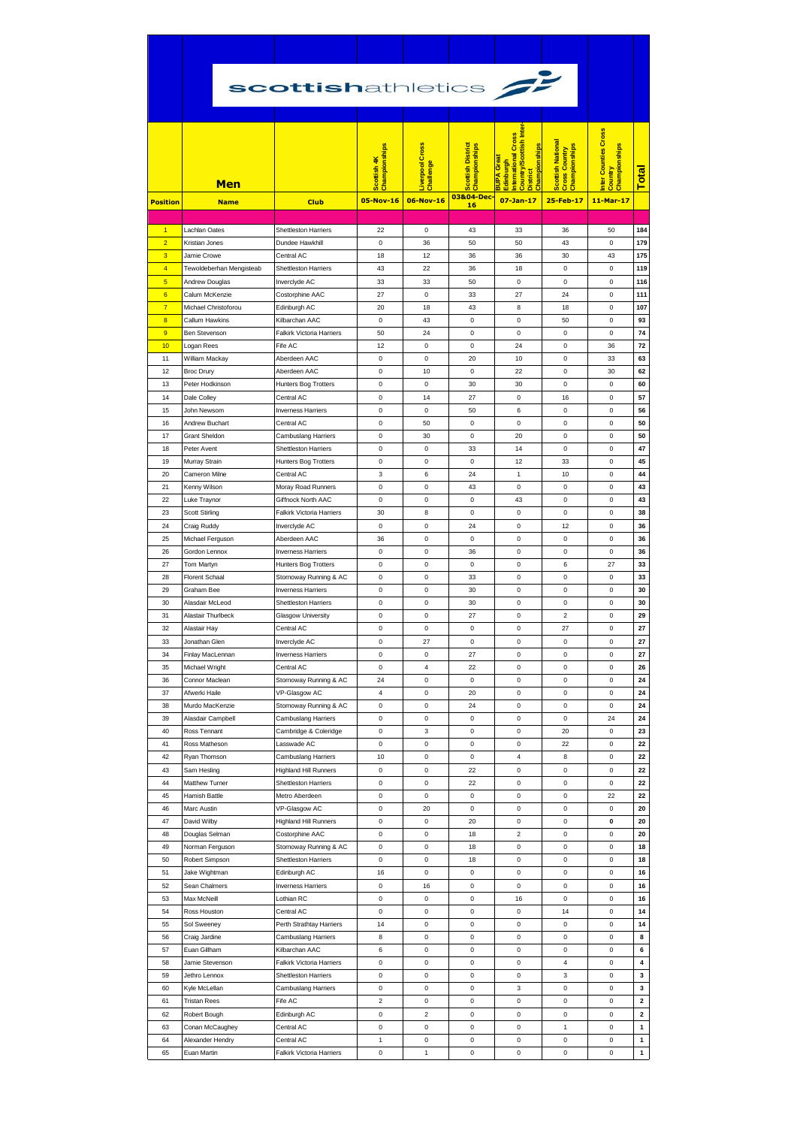|                                           | scottishathletics <b>G</b>           |                                                     |                                           |                                                  |                                                        |                                                                                                                                                                       |                                                                         |                                                               |                  |
|-------------------------------------------|--------------------------------------|-----------------------------------------------------|-------------------------------------------|--------------------------------------------------|--------------------------------------------------------|-----------------------------------------------------------------------------------------------------------------------------------------------------------------------|-------------------------------------------------------------------------|---------------------------------------------------------------|------------------|
| <b>Position</b>                           | Men<br><b>Name</b>                   | <b>Club</b>                                         | Championships<br>Scottish 4K<br>05-Nov-16 | <b>Liverpool Cross</b><br>Challenge<br>06-Nov-16 | Scottish District<br>Championships<br>03&04-Dec-<br>16 | <b>Inter</b><br>International Cross<br><b>Country/Scottish</b><br>Championships<br>Great<br><mark>BUPA Grea</mark><br>Edinburgh<br><b>District</b><br>$07 - Jan - 17$ | <b>Scottish National</b><br>Cross Country<br>Championships<br>25-Feb-17 | Inter Counties Cross<br>Championships<br>Country<br>11-Mar-17 | <b>Total</b>     |
|                                           |                                      |                                                     |                                           |                                                  |                                                        |                                                                                                                                                                       |                                                                         |                                                               |                  |
| $\blacksquare$                            | Lachlan Oates                        | <b>Shettleston Harriers</b>                         | 22                                        | 0                                                | 43                                                     | 33                                                                                                                                                                    | 36                                                                      | 50                                                            | 184              |
| $\overline{2}$<br>3                       | Kristian Jones<br>Jamie Crowe        | Dundee Hawkhill<br>Central AC                       | 0<br>18                                   | 36<br>12                                         | 50<br>36                                               | 50<br>36                                                                                                                                                              | 43<br>30                                                                | $\bf{0}$<br>43                                                | 179<br>175       |
| $\overline{4}$                            | Tewoldeberhan Mengisteab             | Shettleston Harriers                                | 43                                        | 22                                               | 36                                                     | 18                                                                                                                                                                    | $\bf 0$                                                                 | $\mathbf 0$                                                   | 119              |
| $\overline{5}$                            | Andrew Douglas                       | Inverclyde AC                                       | 33                                        | 33                                               | 50                                                     | 0                                                                                                                                                                     | 0                                                                       | 0                                                             | 116              |
| 6                                         | Calum McKenzie                       | Costorphine AAC                                     | 27                                        | 0                                                | 33                                                     | 27                                                                                                                                                                    | 24                                                                      | $\bf{0}$                                                      | 111              |
| $\overline{7}$                            | Michael Christoforou                 | Edinburgh AC<br>Kilbarchan AAC                      | 20                                        | 18                                               | 43                                                     | 8                                                                                                                                                                     | 18                                                                      | $\mathbf 0$                                                   | 107              |
| $\overline{\mathbf{8}}$<br>$\overline{9}$ | Callum Hawkins<br>Ben Stevenson      | Falkirk Victoria Harriers                           | 0<br>50                                   | 43<br>24                                         | 0<br>0                                                 | 0<br>0                                                                                                                                                                | 50<br>0                                                                 | $\mathbf 0$<br>$\bf{0}$                                       | 93<br>74         |
| 10                                        | Logan Rees                           | Fife AC                                             | 12                                        | 0                                                | 0                                                      | 24                                                                                                                                                                    | 0                                                                       | 36                                                            | 72               |
| 11                                        | William Mackay                       | Aberdeen AAC                                        | $\bf{0}$                                  | 0                                                | 20                                                     | 10                                                                                                                                                                    | $\bf 0$                                                                 | 33                                                            | 63               |
| 12                                        | <b>Broc Drury</b>                    | Aberdeen AAC                                        | 0                                         | 10                                               | 0                                                      | 22                                                                                                                                                                    | 0                                                                       | 30                                                            | 62               |
| 13<br>14                                  | Peter Hodkinson<br>Dale Colley       | Hunters Bog Trotters<br>Central AC                  | 0<br>0                                    | 0<br>14                                          | 30<br>27                                               | 30<br>0                                                                                                                                                               | 0<br>16                                                                 | 0<br>$\bf{0}$                                                 | 60<br>57         |
| 15                                        | John Newsom                          | <b>Inverness Harriers</b>                           | 0                                         | 0                                                | 50                                                     | 6                                                                                                                                                                     | 0                                                                       | $\mathbf 0$                                                   | 56               |
| 16                                        | Andrew Buchart                       | Central AC                                          | 0                                         | 50                                               | 0                                                      | 0                                                                                                                                                                     | 0                                                                       | $\bf{0}$                                                      | 50               |
| 17                                        | <b>Grant Sheldon</b>                 | Cambuslang Harriers                                 | 0                                         | 30                                               | 0                                                      | 20                                                                                                                                                                    | 0                                                                       | $\mathbf 0$                                                   | 50               |
| 18<br>19                                  | Peter Avent<br>Murray Strain         | <b>Shettleston Harriers</b><br>Hunters Bog Trotters | 0<br>0                                    | 0<br>0                                           | 33<br>0                                                | 14<br>12                                                                                                                                                              | 0<br>33                                                                 | $\mathbf 0$<br>$\bf{0}$                                       | 47<br>45         |
| 20                                        | Cameron Milne                        | Central AC                                          | 3                                         | 6                                                | 24                                                     | $\mathbf{1}$                                                                                                                                                          | 10                                                                      | $\mathbf 0$                                                   | 44               |
| 21                                        | Kenny Wilson                         | Moray Road Runners                                  | 0                                         | 0                                                | 43                                                     | 0                                                                                                                                                                     | $\bf 0$                                                                 | $\bf{0}$                                                      | 43               |
| 22                                        | Luke Traynor                         | Giffnock North AAC                                  | 0                                         | 0                                                | 0                                                      | 43                                                                                                                                                                    | 0                                                                       | $\bf{0}$                                                      | 43               |
| 23                                        | <b>Scott Stirling</b>                | <b>Falkirk Victoria Harriers</b>                    | 30                                        | 8                                                | 0                                                      | 0                                                                                                                                                                     | 0                                                                       | $\mathbf 0$                                                   | 38               |
| 24<br>25                                  | Craig Ruddy<br>Michael Ferguson      | Inverclyde AC<br>Aberdeen AAC                       | 0<br>36                                   | 0<br>0                                           | 24<br>0                                                | 0<br>0                                                                                                                                                                | 12<br>0                                                                 | $\bf{0}$<br>$\mathbf 0$                                       | 36<br>36         |
| 26                                        | Gordon Lennox                        | <b>Inverness Harriers</b>                           | $\bf{0}$                                  | 0                                                | 36                                                     | 0                                                                                                                                                                     | 0                                                                       | $\bf{0}$                                                      | 36               |
| 27                                        | Tom Martyn                           | Hunters Bog Trotters                                | 0                                         | 0                                                | 0                                                      | 0                                                                                                                                                                     | 6                                                                       | 27                                                            | 33               |
| 28                                        | <b>Florent Schaal</b>                | Stornoway Running & AC                              | 0                                         | 0                                                | 33                                                     | 0                                                                                                                                                                     | 0                                                                       | $\mathbf 0$                                                   | 33               |
| 29<br>30                                  | Graham Bee<br>Alasdair McLeod        | <b>Inverness Harriers</b><br>Shettleston Harriers   | 0<br>0                                    | 0<br>0                                           | 30<br>30                                               | 0<br>0                                                                                                                                                                | 0<br>0                                                                  | $\bf{0}$<br>0                                                 | 30<br>30         |
| 31                                        | Alastair Thurlbeck                   | <b>Glasgow University</b>                           | 0                                         | 0                                                | 27                                                     | 0                                                                                                                                                                     | $\overline{2}$                                                          | $\bf{0}$                                                      | 29               |
| 32                                        | Alastair Hay                         | Central AC                                          | 0                                         | 0                                                | 0                                                      | 0                                                                                                                                                                     | 27                                                                      | 0                                                             | 27               |
| 33                                        | Jonathan Glen                        | Inverclyde AC                                       | 0                                         | 27                                               | 0                                                      | 0                                                                                                                                                                     | 0                                                                       | $\bf{0}$                                                      | 27               |
| 34<br>35                                  | Finlay MacLennan<br>Michael Wright   | <b>Inverness Harriers</b><br>Central AC             | 0<br>0                                    | 0<br>4                                           | 27<br>22                                               | 0<br>0                                                                                                                                                                | 0<br>0                                                                  | $\bf{0}$<br>$\bf{0}$                                          | 27<br>26         |
| 36                                        | Connor Maclean                       | Stornoway Running & AC                              | 24                                        | 0                                                | 0                                                      | 0                                                                                                                                                                     | $\pmb{0}$                                                               | 0                                                             | 24               |
| 37                                        | Afwerki Haile                        | VP-Glasgow AC                                       | 4                                         | 0                                                | 20                                                     | 0                                                                                                                                                                     | 0                                                                       | 0                                                             | 24               |
| 38                                        | Murdo MacKenzie                      | Stornoway Running & AC                              | 0                                         | 0                                                | 24                                                     | 0                                                                                                                                                                     | 0                                                                       | $\mathbf 0$                                                   | 24               |
| 39<br>40                                  | Alasdair Campbell<br>Ross Tennant    | Cambuslang Harriers<br>Cambridge & Coleridge        | 0<br>0                                    | 0<br>3                                           | 0<br>0                                                 | 0<br>0                                                                                                                                                                | 0<br>20                                                                 | 24<br>$\mathbf 0$                                             | 24<br>23         |
| 41                                        | Ross Matheson                        | Lasswade AC                                         | 0                                         | 0                                                | 0                                                      | 0                                                                                                                                                                     | 22                                                                      | 0                                                             | 22               |
| 42                                        | Ryan Thomson                         | Cambuslang Harriers                                 | 10                                        | 0                                                | 0                                                      | 4                                                                                                                                                                     | 8                                                                       | 0                                                             | 22               |
| 43                                        | Sam Hesling                          | <b>Highland Hill Runners</b>                        | 0                                         | 0                                                | 22                                                     | 0                                                                                                                                                                     | 0                                                                       | 0                                                             | 22               |
| 44<br>45                                  | Matthew Turner<br>Hamish Battle      | Shettleston Harriers<br>Metro Aberdeen              | 0<br>0                                    | 0<br>0                                           | 22<br>0                                                | 0<br>0                                                                                                                                                                | 0<br>0                                                                  | $\bf{0}$<br>22                                                | 22<br>22         |
| 46                                        | Marc Austin                          | VP-Glasgow AC                                       | 0                                         | 20                                               | 0                                                      | 0                                                                                                                                                                     | 0                                                                       | 0                                                             | 20               |
| 47                                        | David Wilby                          | <b>Highland Hill Runners</b>                        | 0                                         | 0                                                | 20                                                     | 0                                                                                                                                                                     | 0                                                                       | 0                                                             | 20               |
| 48                                        | Douglas Selman                       | Costorphine AAC                                     | 0                                         | 0                                                | 18                                                     | 2                                                                                                                                                                     | 0                                                                       | 0                                                             | 20               |
| 49<br>50                                  | Norman Ferguson                      | Stornoway Running & AC                              | 0<br>0                                    | 0<br>0                                           | 18<br>18                                               | 0                                                                                                                                                                     | 0<br>0                                                                  | $\bf{0}$<br>$\mathbf 0$                                       | 18<br>18         |
| 51                                        | Robert Simpson<br>Jake Wightman      | Shettleston Harriers<br>Edinburgh AC                | 16                                        | 0                                                | 0                                                      | 0<br>0                                                                                                                                                                | 0                                                                       | $\pmb{0}$                                                     | 16               |
| 52                                        | Sean Chalmers                        | <b>Inverness Harriers</b>                           | 0                                         | 16                                               | 0                                                      | 0                                                                                                                                                                     | 0                                                                       | 0                                                             | 16               |
| 53                                        | Max McNeill                          | Lothian RC                                          | 0                                         | 0                                                | 0                                                      | 16                                                                                                                                                                    | 0                                                                       | $\bf{0}$                                                      | 16               |
| 54                                        | Ross Houston                         | Central AC                                          | 0                                         | 0                                                | 0                                                      | 0                                                                                                                                                                     | 14                                                                      | $\bf{0}$                                                      | 14               |
| 55<br>56                                  | Sol Sweeney<br>Craig Jardine         | Perth Strathtay Harriers<br>Cambuslang Harriers     | 14<br>8                                   | 0<br>0                                           | 0<br>0                                                 | 0<br>0                                                                                                                                                                | 0<br>0                                                                  | $\mathbf 0$<br>$\pmb{0}$                                      | 14<br>8          |
| 57                                        | Euan Gillham                         | Kilbarchan AAC                                      | 6                                         | 0                                                | 0                                                      | 0                                                                                                                                                                     | 0                                                                       | 0                                                             | 6                |
| 58                                        | Jamie Stevenson                      | Falkirk Victoria Harriers                           | 0                                         | 0                                                | 0                                                      | 0                                                                                                                                                                     | 4                                                                       | $\bf{0}$                                                      | 4                |
| 59                                        | Jethro Lennox                        | Shettleston Harriers                                | 0                                         | 0                                                | 0                                                      | 0                                                                                                                                                                     | 3                                                                       | $\bf{0}$                                                      | 3                |
| 60<br>61                                  | Kyle McLellan<br><b>Tristan Rees</b> | Cambuslang Harriers<br>Fife AC                      | 0<br>$\overline{\mathbf{c}}$              | 0<br>0                                           | 0<br>0                                                 | 3<br>0                                                                                                                                                                | $\bf 0$<br>0                                                            | $\mathbf 0$<br>$\pmb{0}$                                      | 3<br>$\mathbf 2$ |
| 62                                        | Robert Bough                         | Edinburgh AC                                        | 0                                         | $\overline{\mathbf{c}}$                          | 0                                                      | 0                                                                                                                                                                     | 0                                                                       | 0                                                             | 2                |
| 63                                        | Conan McCaughey                      | Central AC                                          | 0                                         | 0                                                | 0                                                      | 0                                                                                                                                                                     | $\mathbf{1}$                                                            | $\bf{0}$                                                      | $\mathbf{1}$     |
| 64                                        | Alexander Hendry                     | Central AC                                          | 1                                         | $\pmb{0}$                                        | 0                                                      | 0                                                                                                                                                                     | $\pmb{0}$                                                               | $\bf{0}$                                                      | $\mathbf{1}$     |
| 65                                        | Euan Martin                          | Falkirk Victoria Harriers                           | 0                                         | 1                                                | 0                                                      | 0                                                                                                                                                                     | $\bf 0$                                                                 | $\pmb{0}$                                                     | $\mathbf{1}$     |